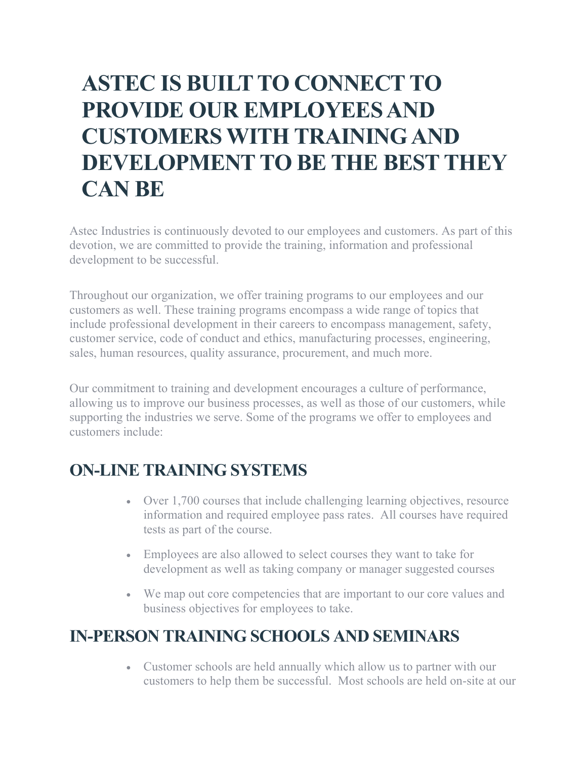## **ASTEC IS BUILT TO CONNECT TO PROVIDE OUR EMPLOYEES AND CUSTOMERS WITH TRAINING AND DEVELOPMENT TO BE THE BEST THEY CAN BE**

Astec Industries is continuously devoted to our employees and customers. As part of this devotion, we are committed to provide the training, information and professional development to be successful.

Throughout our organization, we offer training programs to our employees and our customers as well. These training programs encompass a wide range of topics that include professional development in their careers to encompass management, safety, customer service, code of conduct and ethics, manufacturing processes, engineering, sales, human resources, quality assurance, procurement, and much more.

Our commitment to training and development encourages a culture of performance, allowing us to improve our business processes, as well as those of our customers, while supporting the industries we serve. Some of the programs we offer to employees and customers include:

## **ON-LINE TRAINING SYSTEMS**

- Over 1,700 courses that include challenging learning objectives, resource information and required employee pass rates. All courses have required tests as part of the course.
- Employees are also allowed to select courses they want to take for development as well as taking company or manager suggested courses
- We map out core competencies that are important to our core values and business objectives for employees to take.

## **IN-PERSON TRAINING SCHOOLS AND SEMINARS**

• Customer schools are held annually which allow us to partner with our customers to help them be successful. Most schools are held on-site at our